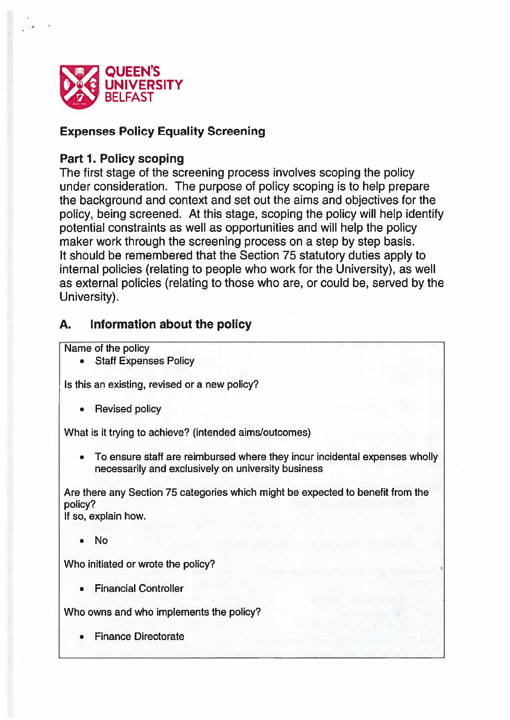

### Expenses Policy Equality Screening

### Part 1. Policy scoping

The first stage of the screening process involves scoping the policy under consideration. The purpose of policy scoping is to help prepare the background and context and set out the aims and objectives for the policy, being screened. At this stage, scoping the policy will help identify potential constraints as well as opportunities and will help the policy maker work through the screening process on <sup>a</sup> step by step basis. It should be remembered that the Section 75 statutory duties apply to internal policies (relating to people who work for the University), as well as external policies (relating to those who are, or could be, served by the University).

### A. Information about the policy

Name of the policy

• Staff Expenses Policy

Is this an existing, revised or <sup>a</sup> new policy?

•Revised policy

What is it trying to achieve? (intended aims/outcomes)

• To ensure staff are reimbursed where they incur incidental expenses wholly necessarily and exclusively on university business

Are there any Section 75 categories which might be expected to benefit from the policy?

If so, explain how.

•No

Who initiated or wrote the policy?

•Financial Controller

Who owns and who implements the policy?

•Finance Directorate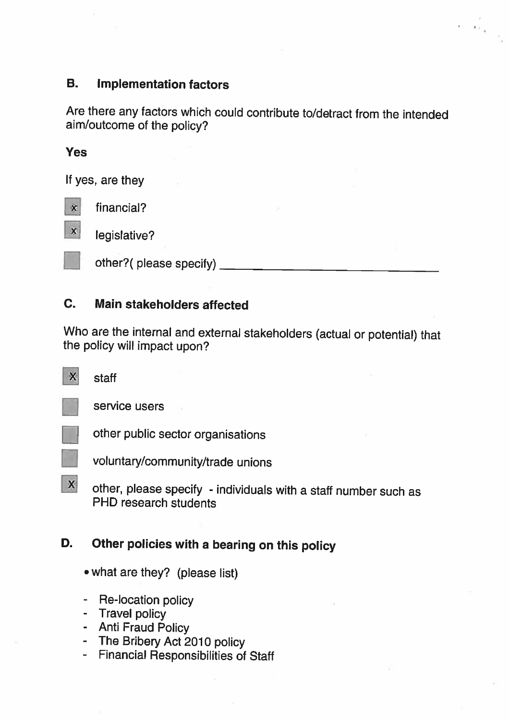# B. Implementation factors

Are there any factors which could contribute to/detract from the intended aim/outcome of the policy?

 $\mathbf{e} = \mathbf{e} \mathbf{e}_\mathrm{a}$ 

#### Yes

If yes, are they

 $\overline{\mathbf{x}}$ financial?

 $\mathbf{\overline{*}}$  legislative?

other?( <sup>p</sup>lease specify)

# C. Main stakeholders affected

Who are the internal and external stakeholders (actual or potential) that the policy will impact upon?

 $\boldsymbol{\mathsf{X}}$ 

staff



service users



other public sector organisations

voluntary/community/trade unions

 $\boldsymbol{\mathsf{X}}$ other, <sup>p</sup>lease specify - individuals with <sup>a</sup> staff number such as PHD research students

# D. Other policies with a bearing on this policy

- what are they? (please list)
- Re-location policy
- Travel policy
- Anti Fraud Policy
- The Bribery Act <sup>2010</sup> policy
- Financial Responsibilities of Staff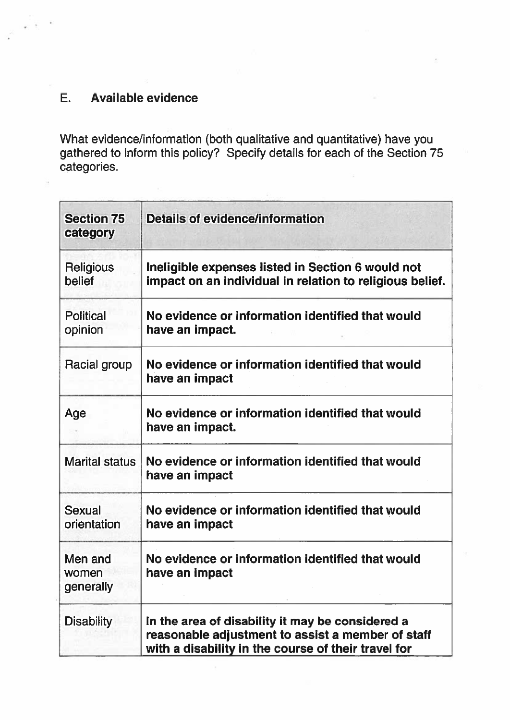# E. Available evidence

What evidence/information (both qualitative and quantitative) have you gathered to inform this policy? Specify details for each of the Section 75 categories.

| <b>Section 75</b><br>category | Details of evidence/information                                                                                                                              |
|-------------------------------|--------------------------------------------------------------------------------------------------------------------------------------------------------------|
| Religious<br>belief           | Ineligible expenses listed in Section 6 would not<br>impact on an individual in relation to religious belief.                                                |
| <b>Political</b><br>opinion   | No evidence or information identified that would<br>have an impact.                                                                                          |
| Racial group                  | No evidence or information identified that would<br>have an impact                                                                                           |
| Age                           | No evidence or information identified that would<br>have an impact.                                                                                          |
| <b>Marital status</b>         | No evidence or information identified that would<br>have an impact                                                                                           |
| <b>Sexual</b><br>orientation  | No evidence or information identified that would<br>have an impact                                                                                           |
| Men and<br>women<br>generally | No evidence or information identified that would<br>have an impact                                                                                           |
| <b>Disability</b>             | In the area of disability it may be considered a<br>reasonable adjustment to assist a member of staff<br>with a disability in the course of their travel for |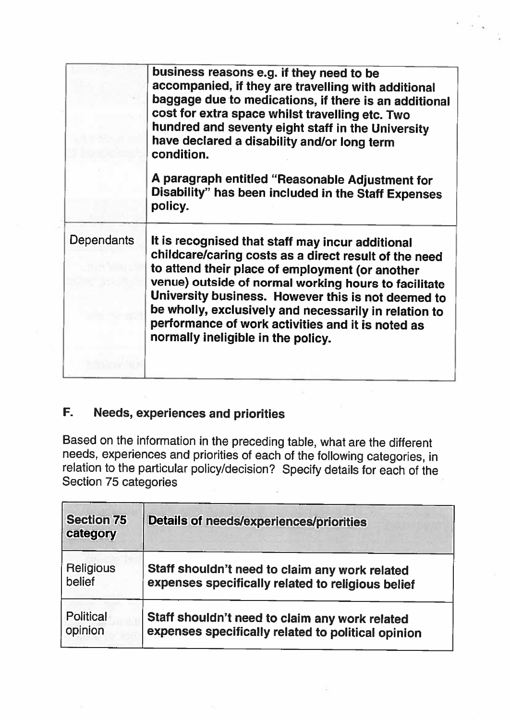|            | business reasons e.g. if they need to be<br>accompanied, if they are travelling with additional<br>baggage due to medications, if there is an additional<br>cost for extra space whilst travelling etc. Two<br>hundred and seventy eight staff in the University<br>have declared a disability and/or long term<br>condition.                                                                                                  |
|------------|--------------------------------------------------------------------------------------------------------------------------------------------------------------------------------------------------------------------------------------------------------------------------------------------------------------------------------------------------------------------------------------------------------------------------------|
|            | A paragraph entitled "Reasonable Adjustment for<br>Disability" has been included in the Staff Expenses<br>policy.                                                                                                                                                                                                                                                                                                              |
| Dependants | It is recognised that staff may incur additional<br>childcare/caring costs as a direct result of the need<br>to attend their place of employment (or another<br>venue) outside of normal working hours to facilitate<br>University business. However this is not deemed to<br>be wholly, exclusively and necessarily in relation to<br>performance of work activities and it is noted as<br>normally ineligible in the policy. |
|            |                                                                                                                                                                                                                                                                                                                                                                                                                                |

# F. Needs, experiences and priorities

Based on the information in the preceding table, what are the different needs, experiences and priorities of each of the following categories, in relation to the particular policy/decision? Specify details for each of the Section 75 categories

| <b>Section 75</b><br>Details of needs/experiences/priorities<br>category |                                                    |
|--------------------------------------------------------------------------|----------------------------------------------------|
| <b>Religious</b>                                                         | Staff shouldn't need to claim any work related     |
| belief                                                                   | expenses specifically related to religious belief  |
| <b>Political</b>                                                         | Staff shouldn't need to claim any work related     |
| opinion                                                                  | expenses specifically related to political opinion |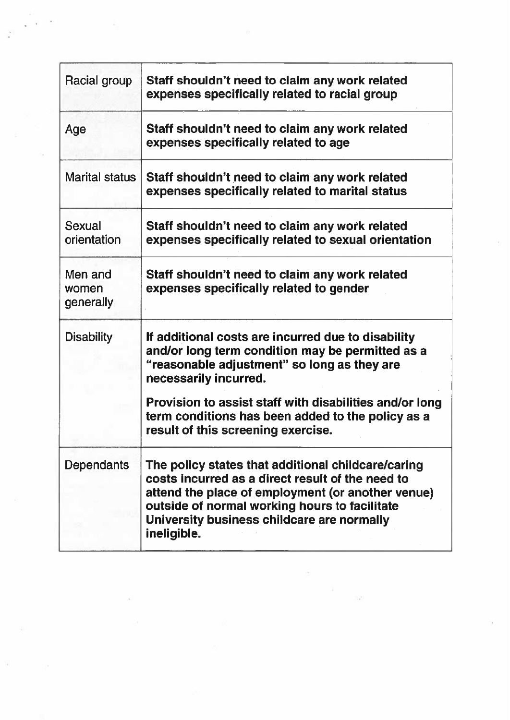| Racial group                  | Staff shouldn't need to claim any work related<br>expenses specifically related to racial group                                                                                                                                                                           |
|-------------------------------|---------------------------------------------------------------------------------------------------------------------------------------------------------------------------------------------------------------------------------------------------------------------------|
| Age                           | Staff shouldn't need to claim any work related<br>expenses specifically related to age                                                                                                                                                                                    |
| <b>Marital status</b>         | Staff shouldn't need to claim any work related<br>expenses specifically related to marital status                                                                                                                                                                         |
| Sexual<br>orientation         | Staff shouldn't need to claim any work related<br>expenses specifically related to sexual orientation                                                                                                                                                                     |
| Men and<br>women<br>generally | Staff shouldn't need to claim any work related<br>expenses specifically related to gender                                                                                                                                                                                 |
| <b>Disability</b>             | If additional costs are incurred due to disability<br>and/or long term condition may be permitted as a<br>"reasonable adjustment" so long as they are<br>necessarily incurred.                                                                                            |
|                               | Provision to assist staff with disabilities and/or long<br>term conditions has been added to the policy as a<br>result of this screening exercise.                                                                                                                        |
| <b>Dependants</b>             | The policy states that additional childcare/caring<br>costs incurred as a direct result of the need to<br>attend the place of employment (or another venue)<br>outside of normal working hours to facilitate<br>University business childcare are normally<br>ineligible. |

Ŵ

 $\bar{\omega}$ 

n.

 $\hat{\Sigma}$ 

W)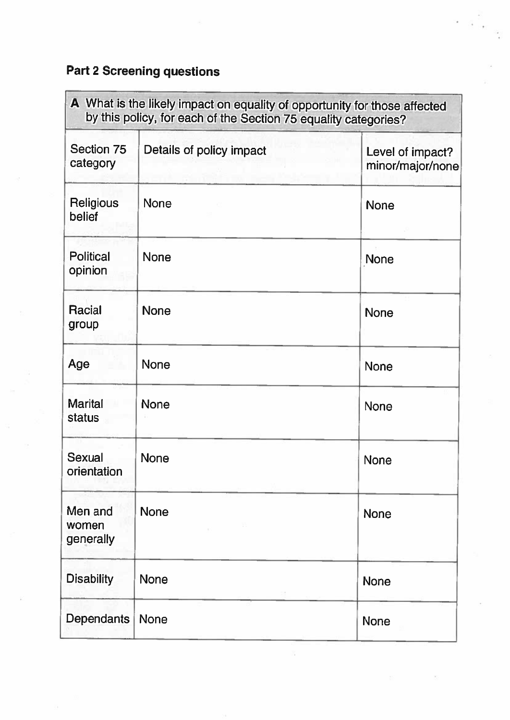# Part 2 Screening questions

| A What is the likely impact on equality of opportunity for those affected<br>by this policy, for each of the Section 75 equality categories? |                          |                                      |
|----------------------------------------------------------------------------------------------------------------------------------------------|--------------------------|--------------------------------------|
| <b>Section 75</b><br>category                                                                                                                | Details of policy impact | Level of impact?<br>minor/major/none |
| Religious<br>belief                                                                                                                          | <b>None</b>              | <b>None</b>                          |
| <b>Political</b><br>opinion                                                                                                                  | <b>None</b>              | <b>None</b>                          |
| Racial<br>group                                                                                                                              | <b>None</b>              | <b>None</b>                          |
| Age                                                                                                                                          | <b>None</b>              | <b>None</b>                          |
| <b>Marital</b><br><b>status</b>                                                                                                              | <b>None</b>              | <b>None</b>                          |
| <b>Sexual</b><br>orientation                                                                                                                 | <b>None</b>              | <b>None</b>                          |
| Men and<br>women<br>generally                                                                                                                | <b>None</b>              | <b>None</b>                          |
| <b>Disability</b>                                                                                                                            | <b>None</b>              | <b>None</b>                          |
| Dependants   None                                                                                                                            |                          | <b>None</b>                          |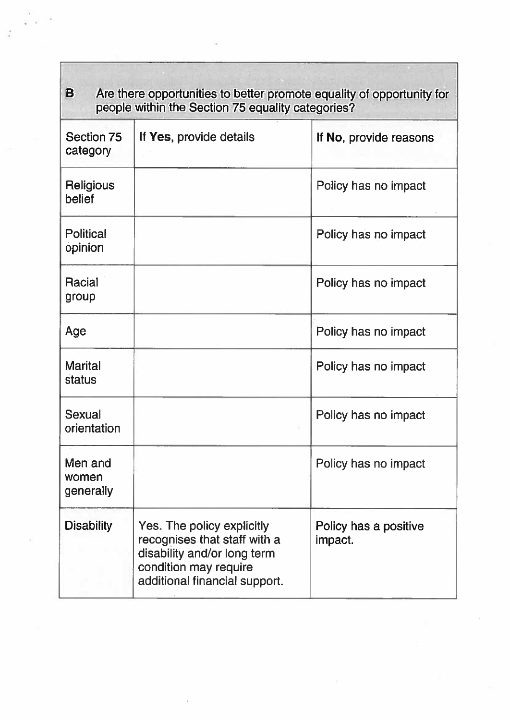| в<br>Are there opportunities to better promote equality of opportunity for<br>people within the Section 75 equality categories? |                                                                                                                                                     |                                  |  |  |
|---------------------------------------------------------------------------------------------------------------------------------|-----------------------------------------------------------------------------------------------------------------------------------------------------|----------------------------------|--|--|
| Section 75<br>category                                                                                                          | If Yes, provide details                                                                                                                             | If No, provide reasons           |  |  |
| Religious<br>belief                                                                                                             |                                                                                                                                                     | Policy has no impact             |  |  |
| <b>Political</b><br>opinion                                                                                                     |                                                                                                                                                     | Policy has no impact             |  |  |
| Racial<br>group                                                                                                                 |                                                                                                                                                     | Policy has no impact             |  |  |
| Age                                                                                                                             |                                                                                                                                                     | Policy has no impact             |  |  |
| <b>Marital</b><br>status                                                                                                        |                                                                                                                                                     | Policy has no impact             |  |  |
| <b>Sexual</b><br>orientation                                                                                                    |                                                                                                                                                     | Policy has no impact             |  |  |
| Men and<br>women<br>generally                                                                                                   |                                                                                                                                                     | Policy has no impact             |  |  |
| <b>Disability</b>                                                                                                               | Yes. The policy explicitly<br>recognises that staff with a<br>disability and/or long term<br>condition may require<br>additional financial support. | Policy has a positive<br>impact. |  |  |

 $\overline{\xi}$  .

 $\tilde{\mathcal{D}}$ 

i,

 $\frac{\partial V}{\partial \omega}$  with

 $\mathbb{C}^{\mathbb{C}}$  .

 $\frac{1}{2}$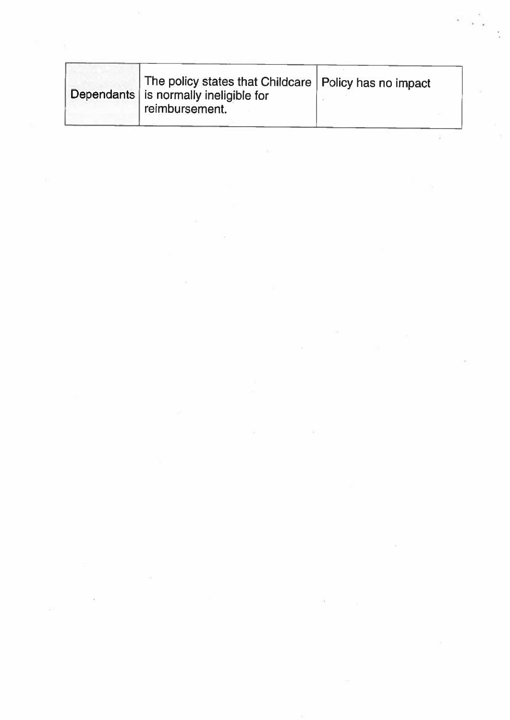| The policy states that Childcare   Policy has no impact<br>reimbursement. |                                         |
|---------------------------------------------------------------------------|-----------------------------------------|
|                                                                           | Dependants   is normally ineligible for |

 $\tilde{\psi}$ 

 $\label{eq:Ricci} \hat{R} = \hat{R} + \hat{R} + \hat{R} + \hat{R} + \hat{R} + \hat{R} + \hat{R} + \hat{R} + \hat{R} + \hat{R} + \hat{R} + \hat{R} + \hat{R} + \hat{R} + \hat{R} + \hat{R} + \hat{R} + \hat{R} + \hat{R} + \hat{R} + \hat{R} + \hat{R} + \hat{R} + \hat{R} + \hat{R} + \hat{R} + \hat{R} + \hat{R} + \hat{R} + \hat{R} + \hat{R} + \hat{R} + \hat{R} + \hat{R} + \$ 

 $\label{eq:1.1} \frac{\partial}{\partial t} \nabla \cdot \nabla \cdot \nabla \cdot \nabla \cdot \nabla \cdot \nabla \cdot \nabla \cdot \nabla \cdot \nabla \cdot \nabla \cdot \nabla \cdot \nabla \cdot \nabla \cdot \nabla \cdot \nabla \cdot \nabla \cdot \nabla \cdot \nabla \cdot \nabla \cdot \nabla \cdot \nabla \cdot \nabla \cdot \nabla \cdot \nabla \cdot \nabla \cdot \nabla \cdot \nabla \cdot \nabla \cdot \nabla \cdot \nabla \cdot \nabla \cdot \nabla \cdot \nabla \cdot \nabla$ 

 $\mathcal{L}^{\mathcal{L}}$  . The set of  $\mathcal{L}^{\mathcal{L}}$ 

 $\frac{1}{2}$  ,  $\frac{1}{2}$  ,  $\frac{1}{2}$ 

 $\sigma$ 

 $\overline{G}$  . The set of  $\overline{G}$ 

 $\mathcal{S}^n_{\mathcal{S}}$ 

 $\frac{1}{2}$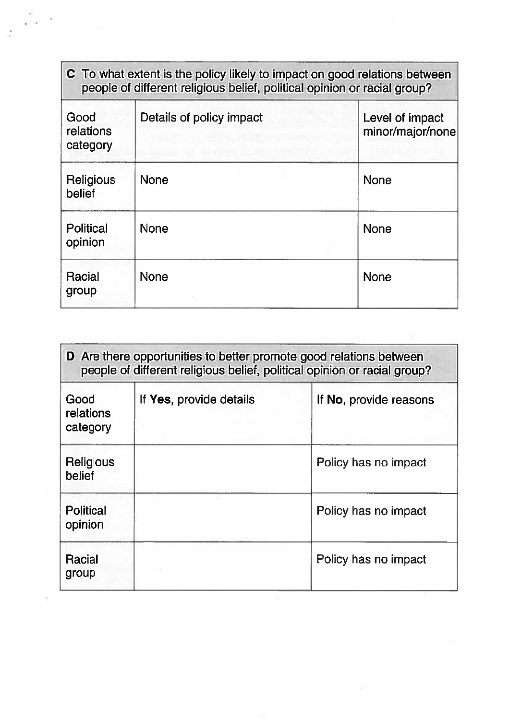| C To what extent is the policy likely to impact on good relations between<br>people of different religious belief, political opinion or racial group? |                          |                                     |  |
|-------------------------------------------------------------------------------------------------------------------------------------------------------|--------------------------|-------------------------------------|--|
| Good<br>relations<br>category                                                                                                                         | Details of policy impact | Level of impact<br>minor/major/none |  |
| Religious<br>belief                                                                                                                                   | <b>None</b>              | <b>None</b>                         |  |
| <b>Political</b><br>opinion                                                                                                                           | <b>None</b>              | <b>None</b>                         |  |
| Racial<br>group                                                                                                                                       | <b>None</b>              | <b>None</b>                         |  |

 $\frac{1}{2} \int_{0}^{R} e^{-\frac{1}{2}}$ 

| Good<br>relations<br>category | If Yes, provide details | If No, provide reasons |
|-------------------------------|-------------------------|------------------------|
| <b>Religious</b><br>belief    |                         | Policy has no impact   |
| <b>Political</b><br>opinion   |                         | Policy has no impact   |
| <b>Racial</b><br>group        |                         | Policy has no impact   |

 $\mathcal{L}$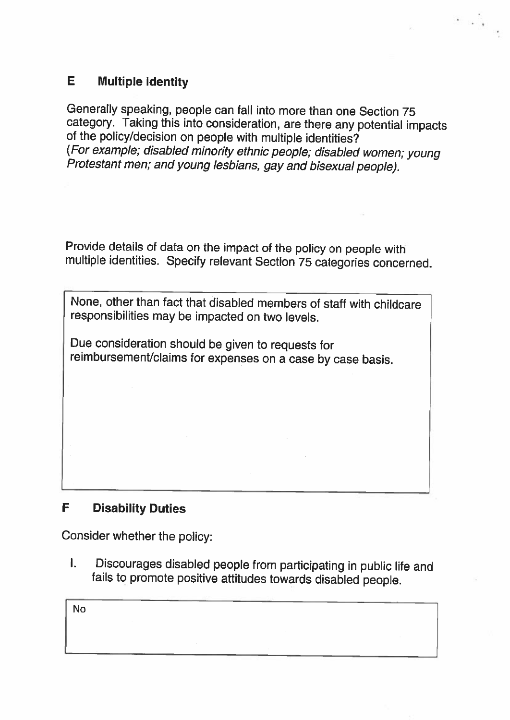# <sup>E</sup> Multiple identity

Generally speaking, people can fall into more than one Section 75 category. Taking this into consideration, are there any potential impacts of the policy/decision on people with multiple identities?<br>(For example; disabled minority ethnic people; disabled women; young Protestant men; and young lesbians, gay and bisexual people).

Provide details of data on the impact of the policy on people with multiple identities. Specify relevant Section <sup>75</sup> categories concerned.

None, other than fact that disabled members of staff with childcare responsibilities may be impacted on two levels.

Due consideration should be <sup>g</sup>iven to requests for reimbursement/claims for expenses on <sup>a</sup> case by case basis.

# <sup>F</sup> Disability Duties

Consider whether the policy:

I. Discourages disabled people from participating in public life and fails to promote positive attitudes towards disabled people.

| No |  |  |  |
|----|--|--|--|
|    |  |  |  |
|    |  |  |  |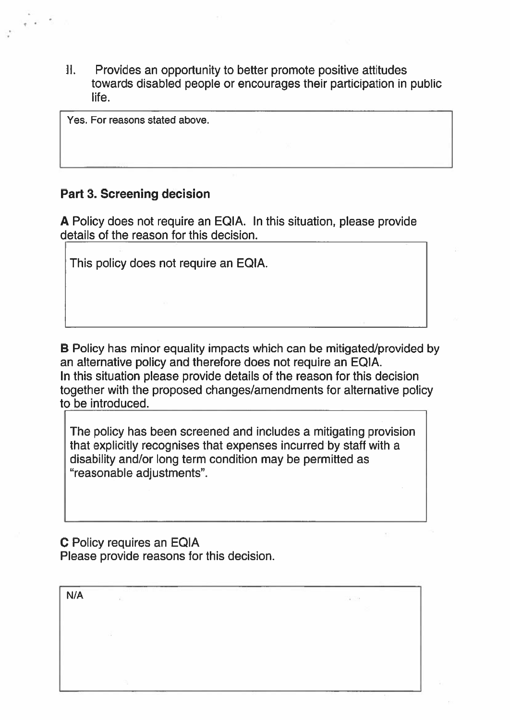II. Provides an opportunity to better promote positive attitudes towards disabled people or encourages their participation in public life.

Yes. For reasons stated above.

t

### Part 3. Screening decision

A Policy does not require an EQIA. In this situation, please provide details of the reason for this decision.

This policy does not require an EQIA.

B Policy has minor equality impacts which can be mitigated/provided by an alternative policy and therefore does not require an EQIA. In this situation please provide details of the reason for this decision together with the proposed changes/amendments for alternative policy to be introduced.

The policy has been screened and includes <sup>a</sup> mitigating provision that explicitly recognises that expenses incurred by staff with <sup>a</sup> disability and/or long term condition may be permitted as "reasonable adjustments".

C Policy requires an EQIA Please provide reasons for this decision.

| 사람 시키면서 그러나 보았어? 그 아이들은 그 그는 그만 그만 그만 그만 보였어? 20<br>N/A | $\frac{1}{2} \left( \frac{1}{2} \right) \left( \frac{1}{2} \right) \left( \frac{1}{2} \right) \left( \frac{1}{2} \right) \left( \frac{1}{2} \right) \left( \frac{1}{2} \right) \left( \frac{1}{2} \right) \left( \frac{1}{2} \right) \left( \frac{1}{2} \right) \left( \frac{1}{2} \right) \left( \frac{1}{2} \right) \left( \frac{1}{2} \right) \left( \frac{1}{2} \right) \left( \frac{1}{2} \right) \left( \frac{1}{2} \right) \left( \frac{1}{2} \right) \left( \frac$<br>-33.5<br>- |
|---------------------------------------------------------|------------------------------------------------------------------------------------------------------------------------------------------------------------------------------------------------------------------------------------------------------------------------------------------------------------------------------------------------------------------------------------------------------------------------------------------------------------------------------------------|
| $\mathcal{L}_{\mathcal{A}}$                             | $\alpha$ . $\beta$                                                                                                                                                                                                                                                                                                                                                                                                                                                                       |
|                                                         | $\sim$                                                                                                                                                                                                                                                                                                                                                                                                                                                                                   |
|                                                         |                                                                                                                                                                                                                                                                                                                                                                                                                                                                                          |
|                                                         |                                                                                                                                                                                                                                                                                                                                                                                                                                                                                          |
| $\mathcal{Z}$                                           |                                                                                                                                                                                                                                                                                                                                                                                                                                                                                          |
|                                                         |                                                                                                                                                                                                                                                                                                                                                                                                                                                                                          |
|                                                         |                                                                                                                                                                                                                                                                                                                                                                                                                                                                                          |
|                                                         |                                                                                                                                                                                                                                                                                                                                                                                                                                                                                          |
|                                                         |                                                                                                                                                                                                                                                                                                                                                                                                                                                                                          |
| -3                                                      |                                                                                                                                                                                                                                                                                                                                                                                                                                                                                          |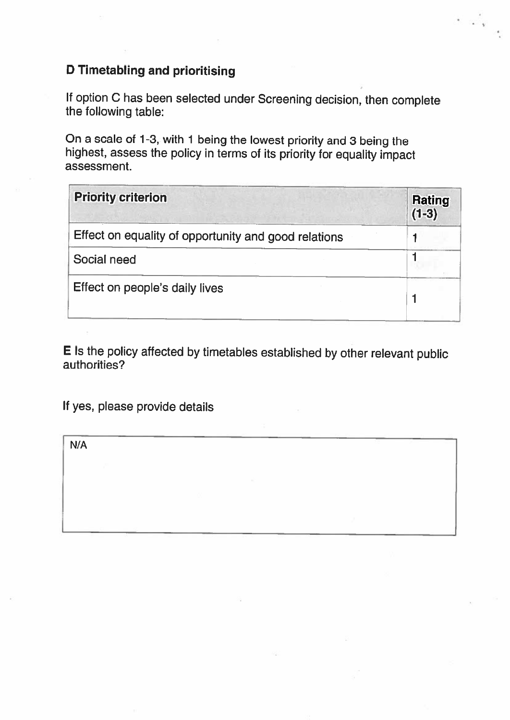### <sup>D</sup> Timetabling and prioritising

If option <sup>C</sup> has been selected under Screening decision, then complete the following table:

On <sup>a</sup> scale of 1-3, with <sup>1</sup> being the lowest priority and <sup>3</sup> being the highest, assess the policy in terms of its priority for equality impact assessment.

| <b>Priority criterion</b>                            | Rating<br>$(1-3)$ |
|------------------------------------------------------|-------------------|
| Effect on equality of opportunity and good relations |                   |
| Social need                                          |                   |
| Effect on people's daily lives                       |                   |

<sup>E</sup> Is the policy affected by timetables established by other relevant public authorities?

If yes, please provide details

N/A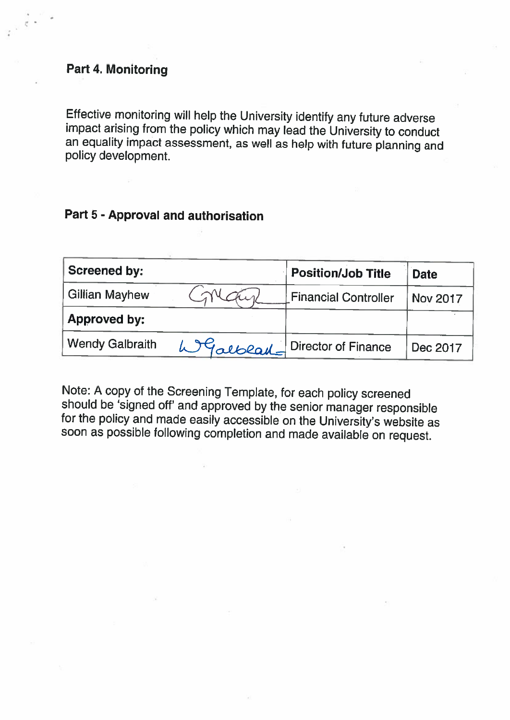#### Part 4. Monitoring

Effective monitoring will help the University identify any future adverse impact arising from the policy which may lead the University to conduct an equality impact assessment, as well as help with future <sup>p</sup>lanning and policy development.

### Part 5 - Approval and authorisation

| <b>Screened by:</b>    |            | <b>Position/Job Title</b>   | <b>Date</b>     |
|------------------------|------------|-----------------------------|-----------------|
| <b>Gillian Mayhew</b>  |            | <b>Financial Controller</b> | <b>Nov 2017</b> |
| <b>Approved by:</b>    |            |                             |                 |
| <b>Wendy Galbraith</b> | W Galblack | <b>Director of Finance</b>  | Dec 2017        |

Note: <sup>A</sup> copy of the Screening Template, for each policy screened should be 'signed off' and approved by the senior manager responsible for the policy and made easily accessible on the University's website as soon as possible following completion and made available on request.